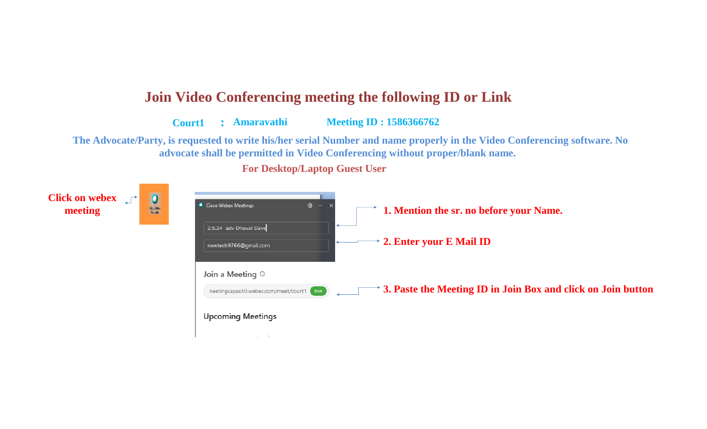## **Join Video Conferencing meeting the following ID or Link**

 **Court1 : Amaravathi Meeting ID : 1586366762**

 **The Advocate/Party, is requested to write his/her serial Number and name properly in the Video Conferencing software. No advocate shall be permitted in Video Conferencing without proper/blank name.**

**For Desktop/Laptop Guest User**

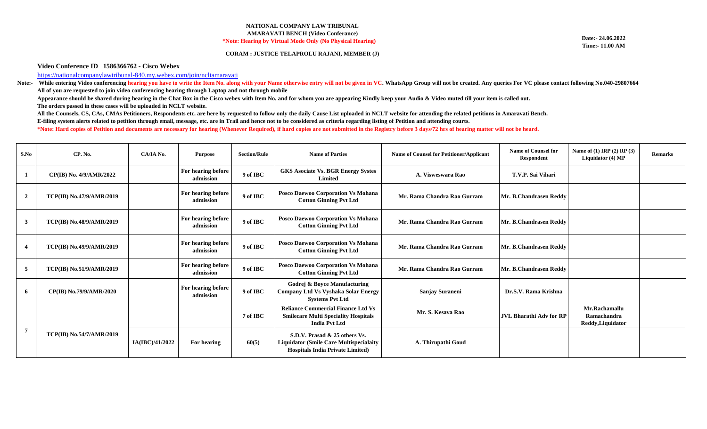## **NATIONAL COMPANY LAW TRIBUNAL AMARAVATI BENCH (Video Conferance) \*Note: Hearing by Virtual Mode Only (No Physical Hearing)**

**CORAM : JUSTICE TELAPROLU RAJANI, MEMBER (J)**

**Date:- 24.06.2022 Time:- 11.00 AM**

## **Video Conference ID 1586366762 - Cisco Webex**

[https://nationalcompanylawtribuna](https://nationalcompanylawtribunal-840.my.webex.com/join/ncltamaravati)l-840.my.webex.com/join/ncltamaravati

Note:- While entering Video conferencing hearing you have to write the Item No. along with your Name otherwise entry will not be given in VC. WhatsApp Group will not be created. Any queries For VC please contact following **All of you are requested to join video conferencing hearing through Laptop and not through mobile**

**Appearance should be shared during hearing in the Chat Box in the Cisco webex with Item No. and for whom you are appearing Kindly keep your Audio & Video muted till your item is called out. The orders passed in these cases will be uploaded in NCLT website.**

**E-filing system alerts related to petition through email, message, etc. are in Trail and hence not to be considered as criteria regarding listing of Petition and attending courts. \*Note: Hard copies of Petition and documents are necessary for hearing (Whenever Required), if hard copies are not submitted in the Registry before 3 days/72 hrs of hearing matter will not be heard. All the Counsels, CS, CAs, CMAs Petitioners, Respondents etc. are here by requested to follow only the daily Cause List uploaded in NCLT website for attending the related petitions in Amaravati Bench.**

| S.No         | CP. No.                  | CA/IA No.       | <b>Purpose</b>                  | <b>Section/Rule</b> | <b>Name of Parties</b>                                                                                                     | Name of Counsel for Petitioner/Applicant | <b>Name of Counsel for</b><br>Respondent | Name of (1) IRP (2) RP (3)<br>Liquidator (4) MP   | <b>Remarks</b> |
|--------------|--------------------------|-----------------|---------------------------------|---------------------|----------------------------------------------------------------------------------------------------------------------------|------------------------------------------|------------------------------------------|---------------------------------------------------|----------------|
|              | CP(IB) No. 4/9/AMR/2022  |                 | For hearing before<br>admission | 9 of IBC            | <b>GKS Asociate Vs. BGR Energy Systes</b><br><b>Limited</b>                                                                | A. Visweswara Rao                        | T.V.P. Sai Vihari                        |                                                   |                |
| $\mathbf{2}$ | TCP(IB) No.47/9/AMR/2019 |                 | For hearing before<br>admission | 9 of IBC            | Posco Daewoo Corporation Vs Mohana<br><b>Cotton Ginning Pvt Ltd</b>                                                        | Mr. Rama Chandra Rao Gurram              | Mr. B.Chandrasen Reddy                   |                                                   |                |
| -3           | TCP(IB) No.48/9/AMR/2019 |                 | For hearing before<br>admission | 9 of IBC            | Posco Daewoo Corporation Vs Mohana<br><b>Cotton Ginning Pvt Ltd</b>                                                        | Mr. Rama Chandra Rao Gurram              | Mr. B.Chandrasen Reddy                   |                                                   |                |
|              | TCP(IB) No.49/9/AMR/2019 |                 | For hearing before<br>admission | 9 of IBC            | Posco Daewoo Corporation Vs Mohana<br><b>Cotton Ginning Pvt Ltd</b>                                                        | Mr. Rama Chandra Rao Gurram              | Mr. B.Chandrasen Reddy                   |                                                   |                |
| 5            | TCP(IB) No.51/9/AMR/2019 |                 | For hearing before<br>admission | 9 of IBC            | Posco Daewoo Corporation Vs Mohana<br><b>Cotton Ginning Pvt Ltd</b>                                                        | Mr. Rama Chandra Rao Gurram              | Mr. B.Chandrasen Reddy                   |                                                   |                |
| 6            | CP(IB) No.79/9/AMR/2020  |                 | For hearing before<br>admission | 9 of IBC            | <b>Godrej &amp; Boyce Manufacturing</b><br><b>Company Ltd Vs Vyshaka Solar Energy</b><br><b>Systems Pvt Ltd</b>            | Sanjay Suraneni                          | Dr.S.V. Rama Krishna                     |                                                   |                |
| -7           |                          |                 |                                 | 7 of IBC            | <b>Reliance Commercial Finance Ltd Vs</b><br><b>Smilecare Multi Speciality Hospitals</b><br><b>India Pvt Ltd</b>           | Mr. S. Kesava Rao                        | <b>JVL Bharathi Adv for RP</b>           | Mr.Rachamallu<br>Ramachandra<br>Reddy, Liquidator |                |
|              | TCP(IB) No.54/7/AMR/2019 | IA(IBC)/41/2022 | For hearing                     | 60(5)               | S.D.V. Prasad & 25 others Vs.<br><b>Liquidator (Smile Care Multispecialaity</b><br><b>Hospitals India Private Limited)</b> | A. Thirupathi Goud                       |                                          |                                                   |                |